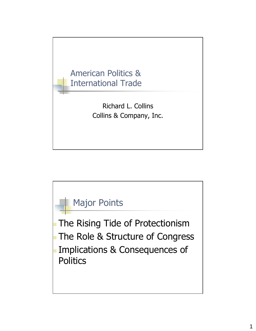

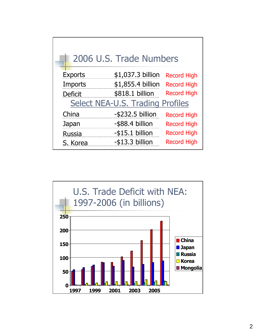| 2006 U.S. Trade Numbers          |  |  |
|----------------------------------|--|--|
| <b>Record High</b>               |  |  |
| <b>Record High</b>               |  |  |
| <b>Record High</b>               |  |  |
| Select NEA-U.S. Trading Profiles |  |  |
| <b>Record High</b>               |  |  |
| <b>Record High</b>               |  |  |
| <b>Record High</b>               |  |  |
| <b>Record High</b>               |  |  |
|                                  |  |  |

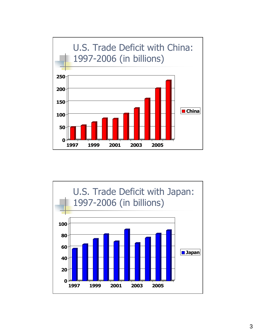

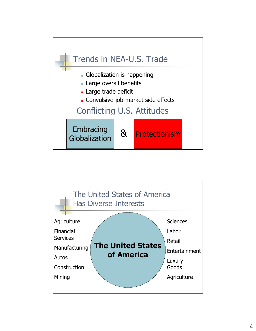

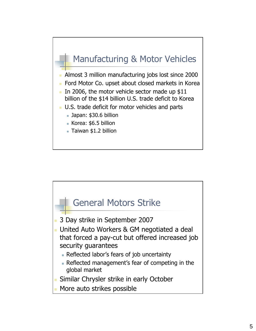## Manufacturing & Motor Vehicles

- Almost 3 million manufacturing jobs lost since 2000
- Ford Motor Co. upset about closed markets in Korea
- In 2006, the motor vehicle sector made up  $$11$ billion of the \$14 billion U.S. trade deficit to Korea
- U.S. trade deficit for motor vehicles and parts
	- Japan: \$30.6 billion
	- Korea: \$6.5 billion
	- Taiwan \$1.2 billion

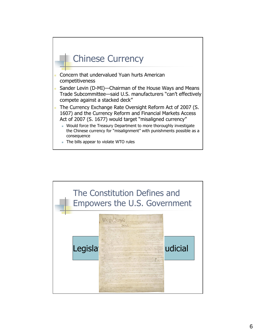

- Concern that undervalued Yuan hurts American competitiveness
- Sander Levin (D-MI)—Chairman of the House Ways and Means Trade Subcommittee—said U.S. manufacturers "can't effectively compete against a stacked deck"
- The Currency Exchange Rate Oversight Reform Act of 2007 (S. 1607) and the Currency Reform and Financial Markets Access Act of 2007 (S. 1677) would target "misaligned currency"
	- Would force the Treasury Department to more thoroughly investigate the Chinese currency for "misalignment" with punishments possible as a consequence
	- The bills appear to violate WTO rules

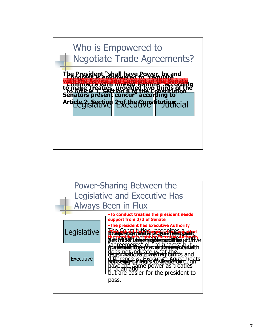

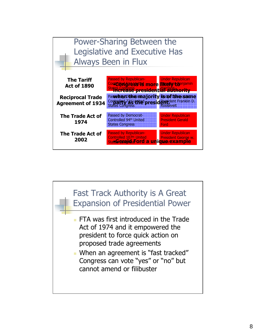

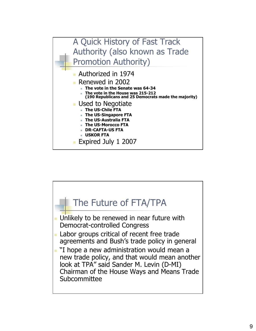

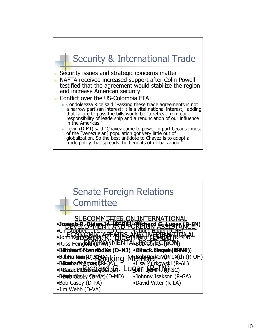

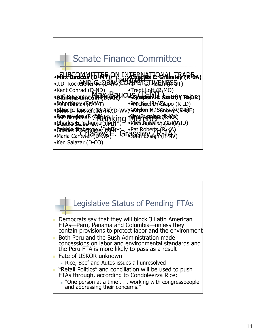

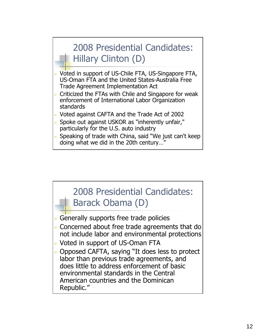# 2008 Presidential Candidates: Hillary Clinton (D)

- Voted in support of US-Chile FTA, US-Singapore FTA, US-Oman FTA and the United States-Australia Free Trade Agreement Implementation Act
- **Criticized the FTAs with Chile and Singapore for weak** enforcement of International Labor Organization standards
- Voted against CAFTA and the Trade Act of 2002
- Spoke out against USKOR as "inherently unfair," particularly for the U.S. auto industry
- Speaking of trade with China, said "We just can't keep doing what we did in the 20th century…"

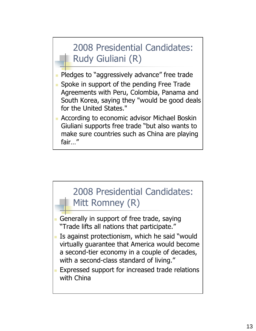# 2008 Presidential Candidates: Rudy Giuliani (R)

- **Pledges to "aggressively advance" free trade**
- **Spoke in support of the pending Free Trade** Agreements with Peru, Colombia, Panama and South Korea, saying they "would be good deals for the United States."
- **According to economic advisor Michael Boskin** Giuliani supports free trade "but also wants to make sure countries such as China are playing fair…"

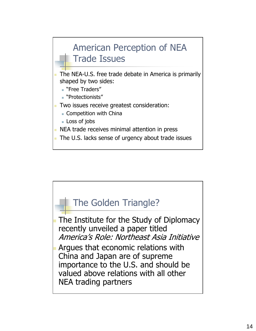## American Perception of NEA Trade Issues

- The NEA-U.S. free trade debate in America is primarily shaped by two sides:
	- "Free Traders"
	- "Protectionists"
- **Two issues receive greatest consideration:** 
	- **Competition with China**
	- **Loss of jobs**
- **NEA trade receives minimal attention in press**
- The U.S. lacks sense of urgency about trade issues